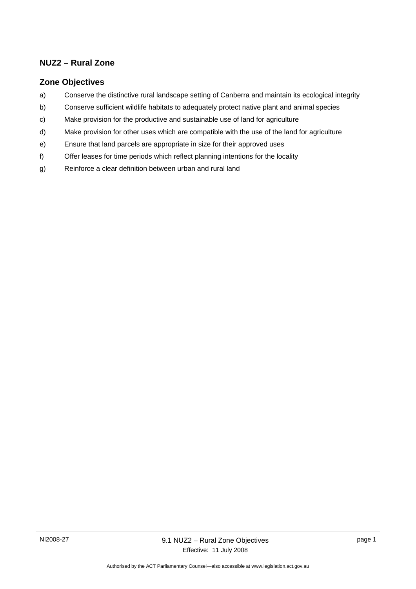## **NUZ2 – Rural Zone**

## **Zone Objectives**

- a) Conserve the distinctive rural landscape setting of Canberra and maintain its ecological integrity
- b) Conserve sufficient wildlife habitats to adequately protect native plant and animal species
- c) Make provision for the productive and sustainable use of land for agriculture
- d) Make provision for other uses which are compatible with the use of the land for agriculture
- e) Ensure that land parcels are appropriate in size for their approved uses
- f) Offer leases for time periods which reflect planning intentions for the locality
- g) Reinforce a clear definition between urban and rural land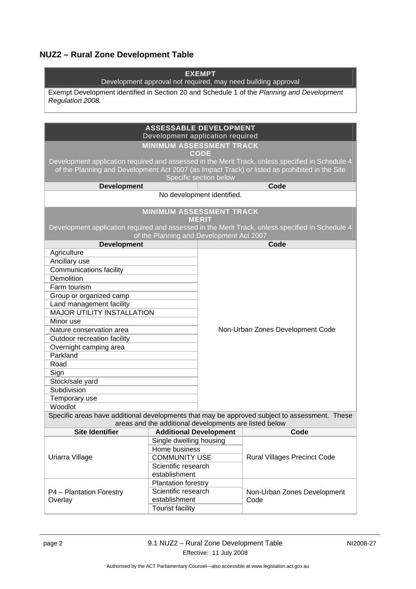# **NUZ2 – Rural Zone Development Table**

| <b>EXEMPT</b><br>Development approval not required, may need building approval                                                               |                                                        |                                  |                                                                                               |  |
|----------------------------------------------------------------------------------------------------------------------------------------------|--------------------------------------------------------|----------------------------------|-----------------------------------------------------------------------------------------------|--|
|                                                                                                                                              |                                                        |                                  |                                                                                               |  |
| Exempt Development identified in Section 20 and Schedule 1 of the Planning and Development<br>Regulation 2008.                               |                                                        |                                  |                                                                                               |  |
|                                                                                                                                              |                                                        |                                  |                                                                                               |  |
|                                                                                                                                              |                                                        |                                  |                                                                                               |  |
|                                                                                                                                              | <b>ASSESSABLE DEVELOPMENT</b>                          |                                  |                                                                                               |  |
|                                                                                                                                              | Development application required                       |                                  |                                                                                               |  |
|                                                                                                                                              | <b>MINIMUM ASSESSMENT TRACK</b>                        |                                  |                                                                                               |  |
| CODE                                                                                                                                         |                                                        |                                  |                                                                                               |  |
| Development application required and assessed in the Merit Track, unless specified in Schedule 4                                             |                                                        |                                  |                                                                                               |  |
| of the Planning and Development Act 2007 (as Impact Track) or listed as prohibited in the Site<br>Specific section below                     |                                                        |                                  |                                                                                               |  |
| <b>Development</b>                                                                                                                           |                                                        |                                  | Code                                                                                          |  |
|                                                                                                                                              |                                                        | No development identified.       |                                                                                               |  |
|                                                                                                                                              |                                                        |                                  |                                                                                               |  |
| <b>MINIMUM ASSESSMENT TRACK</b>                                                                                                              |                                                        |                                  |                                                                                               |  |
| <b>MERIT</b>                                                                                                                                 |                                                        |                                  |                                                                                               |  |
| Development application required and assessed in the Merit Track, unless specified in Schedule 4<br>of the Planning and Development Act 2007 |                                                        |                                  |                                                                                               |  |
| <b>Development</b>                                                                                                                           |                                                        |                                  | Code                                                                                          |  |
| Agriculture                                                                                                                                  |                                                        |                                  |                                                                                               |  |
| Ancillary use                                                                                                                                |                                                        |                                  |                                                                                               |  |
| <b>Communications facility</b>                                                                                                               |                                                        |                                  |                                                                                               |  |
| <b>Demolition</b>                                                                                                                            |                                                        |                                  |                                                                                               |  |
| Farm tourism                                                                                                                                 |                                                        |                                  |                                                                                               |  |
| Group or organized camp                                                                                                                      |                                                        |                                  |                                                                                               |  |
| Land management facility                                                                                                                     |                                                        |                                  |                                                                                               |  |
| <b>MAJOR UTILITY INSTALLATION</b>                                                                                                            |                                                        |                                  |                                                                                               |  |
| Minor use                                                                                                                                    |                                                        |                                  |                                                                                               |  |
| Nature conservation area                                                                                                                     |                                                        | Non-Urban Zones Development Code |                                                                                               |  |
| Outdoor recreation facility                                                                                                                  |                                                        |                                  |                                                                                               |  |
| Overnight camping area                                                                                                                       |                                                        |                                  |                                                                                               |  |
| Parkland                                                                                                                                     |                                                        |                                  |                                                                                               |  |
| Road                                                                                                                                         |                                                        |                                  |                                                                                               |  |
| Sign                                                                                                                                         |                                                        |                                  |                                                                                               |  |
| Stock/sale yard                                                                                                                              |                                                        |                                  |                                                                                               |  |
| Subdivision                                                                                                                                  |                                                        |                                  |                                                                                               |  |
| Temporary use                                                                                                                                |                                                        |                                  |                                                                                               |  |
| Woodlot                                                                                                                                      |                                                        |                                  |                                                                                               |  |
|                                                                                                                                              |                                                        |                                  | Specific areas have additional developments that may be approved subject to assessment. These |  |
|                                                                                                                                              | areas and the additional developments are listed below |                                  |                                                                                               |  |
| <b>Site Identifier</b>                                                                                                                       | <b>Additional Development</b>                          |                                  | Code                                                                                          |  |
| Uriarra Village                                                                                                                              | Single dwelling housing                                |                                  | <b>Rural Villages Precinct Code</b>                                                           |  |
|                                                                                                                                              | Home business                                          |                                  |                                                                                               |  |
|                                                                                                                                              | <b>COMMUNITY USE</b>                                   |                                  |                                                                                               |  |
|                                                                                                                                              | Scientific research<br>establishment                   |                                  |                                                                                               |  |
|                                                                                                                                              |                                                        |                                  |                                                                                               |  |
| P4 - Plantation Forestry<br>Overlay                                                                                                          | <b>Plantation forestry</b><br>Scientific research      |                                  | Non-Urban Zones Development<br>Code                                                           |  |
|                                                                                                                                              | establishment                                          |                                  |                                                                                               |  |
|                                                                                                                                              | <b>Tourist facility</b>                                |                                  |                                                                                               |  |
|                                                                                                                                              |                                                        |                                  |                                                                                               |  |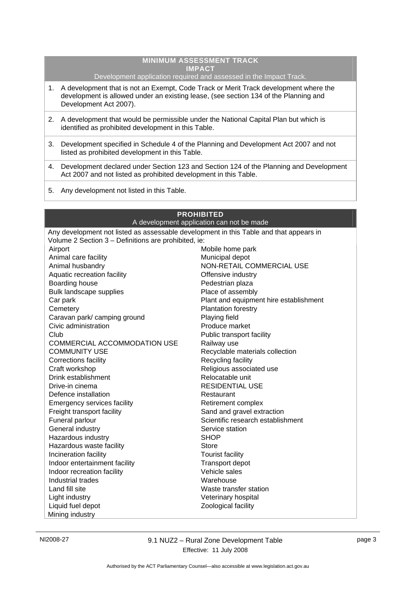#### **MINIMUM ASSESSMENT TRACK IMPACT**  Development application required and assessed in the Impact Track.

- 1. A development that is not an Exempt, Code Track or Merit Track development where the development is allowed under an existing lease, (see section 134 of the Planning and Development Act 2007).
- 2. A development that would be permissible under the National Capital Plan but which is identified as prohibited development in this Table.
- 3. Development specified in Schedule 4 of the Planning and Development Act 2007 and not listed as prohibited development in this Table.
- 4. Development declared under Section 123 and Section 124 of the Planning and Development Act 2007 and not listed as prohibited development in this Table.
- 5. Any development not listed in this Table.

| <b>PROHIBITED</b>                                                                      |                                        |  |  |
|----------------------------------------------------------------------------------------|----------------------------------------|--|--|
| A development application can not be made                                              |                                        |  |  |
| Any development not listed as assessable development in this Table and that appears in |                                        |  |  |
| Volume 2 Section 3 - Definitions are prohibited, ie:                                   |                                        |  |  |
| Airport                                                                                | Mobile home park                       |  |  |
| Animal care facility                                                                   | Municipal depot                        |  |  |
| Animal husbandry                                                                       | NON-RETAIL COMMERCIAL USE              |  |  |
| Aquatic recreation facility                                                            | Offensive industry                     |  |  |
| Boarding house                                                                         | Pedestrian plaza                       |  |  |
| Bulk landscape supplies                                                                | Place of assembly                      |  |  |
| Car park                                                                               | Plant and equipment hire establishment |  |  |
| Cemetery                                                                               | <b>Plantation forestry</b>             |  |  |
| Caravan park/ camping ground                                                           | Playing field                          |  |  |
| Civic administration                                                                   | Produce market                         |  |  |
| Club                                                                                   | Public transport facility              |  |  |
| <b>COMMERCIAL ACCOMMODATION USE</b>                                                    | Railway use                            |  |  |
| <b>COMMUNITY USE</b>                                                                   | Recyclable materials collection        |  |  |
| <b>Corrections facility</b>                                                            | Recycling facility                     |  |  |
| Craft workshop                                                                         | Religious associated use               |  |  |
| Drink establishment                                                                    | Relocatable unit                       |  |  |
| Drive-in cinema                                                                        | <b>RESIDENTIAL USE</b>                 |  |  |
| Defence installation                                                                   | Restaurant                             |  |  |
| <b>Emergency services facility</b>                                                     | Retirement complex                     |  |  |
| Freight transport facility                                                             | Sand and gravel extraction             |  |  |
| Funeral parlour                                                                        | Scientific research establishment      |  |  |
| General industry                                                                       | Service station                        |  |  |
| Hazardous industry                                                                     | <b>SHOP</b>                            |  |  |
| Hazardous waste facility                                                               | Store                                  |  |  |
| Incineration facility                                                                  | <b>Tourist facility</b>                |  |  |
| Indoor entertainment facility                                                          | <b>Transport depot</b>                 |  |  |
| Indoor recreation facility                                                             | Vehicle sales                          |  |  |
| Industrial trades                                                                      | Warehouse                              |  |  |
| Land fill site                                                                         | Waste transfer station                 |  |  |
| Light industry                                                                         | Veterinary hospital                    |  |  |
| Liquid fuel depot                                                                      | Zoological facility                    |  |  |
| Mining industry                                                                        |                                        |  |  |

NI2008-27 9.1 NUZ2 – Rural Zone Development Table Effective: 11 July 2008